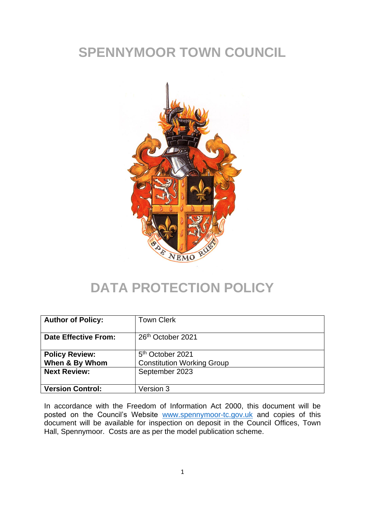# **SPENNYMOOR TOWN COUNCIL**



## **DATA PROTECTION POLICY**

| <b>Author of Policy:</b>                | <b>Town Clerk</b>                                                 |
|-----------------------------------------|-------------------------------------------------------------------|
| <b>Date Effective From:</b>             | 26 <sup>th</sup> October 2021                                     |
| <b>Policy Review:</b><br>When & By Whom | 5 <sup>th</sup> October 2021<br><b>Constitution Working Group</b> |
| <b>Next Review:</b>                     | September 2023                                                    |
| <b>Version Control:</b>                 | Version 3                                                         |

In accordance with the Freedom of Information Act 2000, this document will be posted on the Council's Website [www.spennymoor-tc.gov.uk](http://www.spennymoor-tc.gov.uk/) and copies of this document will be available for inspection on deposit in the Council Offices, Town Hall, Spennymoor. Costs are as per the model publication scheme.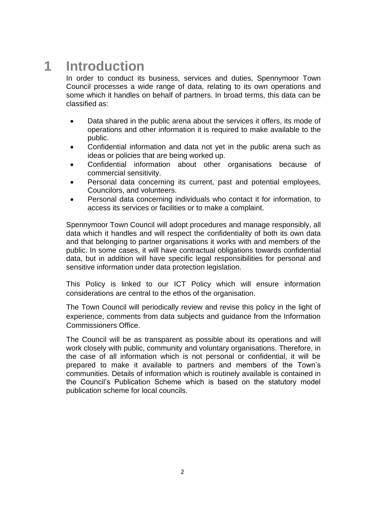## **1 Introduction**

In order to conduct its business, services and duties, Spennymoor Town Council processes a wide range of data, relating to its own operations and some which it handles on behalf of partners. In broad terms, this data can be classified as:

- Data shared in the public arena about the services it offers, its mode of operations and other information it is required to make available to the public.
- Confidential information and data not yet in the public arena such as ideas or policies that are being worked up.
- Confidential information about other organisations because of commercial sensitivity.
- Personal data concerning its current, past and potential employees, Councilors, and volunteers.
- Personal data concerning individuals who contact it for information, to access its services or facilities or to make a complaint.

Spennymoor Town Council will adopt procedures and manage responsibly, all data which it handles and will respect the confidentiality of both its own data and that belonging to partner organisations it works with and members of the public. In some cases, it will have contractual obligations towards confidential data, but in addition will have specific legal responsibilities for personal and sensitive information under data protection legislation.

This Policy is linked to our ICT Policy which will ensure information considerations are central to the ethos of the organisation.

The Town Council will periodically review and revise this policy in the light of experience, comments from data subjects and guidance from the Information Commissioners Office.

The Council will be as transparent as possible about its operations and will work closely with public, community and voluntary organisations. Therefore, in the case of all information which is not personal or confidential, it will be prepared to make it available to partners and members of the Town's communities. Details of information which is routinely available is contained in the Council's Publication Scheme which is based on the statutory model publication scheme for local councils.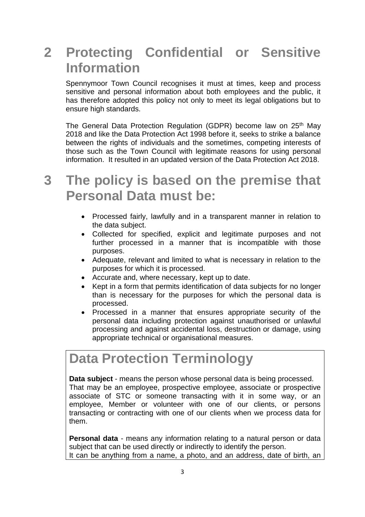# **2 Protecting Confidential or Sensitive Information**

Spennymoor Town Council recognises it must at times, keep and process sensitive and personal information about both employees and the public, it has therefore adopted this policy not only to meet its legal obligations but to ensure high standards.

The General Data Protection Regulation (GDPR) become law on 25<sup>th</sup> May 2018 and like the Data Protection Act 1998 before it, seeks to strike a balance between the rights of individuals and the sometimes, competing interests of those such as the Town Council with legitimate reasons for using personal information. It resulted in an updated version of the Data Protection Act 2018.

## **3 The policy is based on the premise that Personal Data must be:**

- Processed fairly, lawfully and in a transparent manner in relation to the data subject.
- Collected for specified, explicit and legitimate purposes and not further processed in a manner that is incompatible with those purposes.
- Adequate, relevant and limited to what is necessary in relation to the purposes for which it is processed.
- Accurate and, where necessary, kept up to date.
- Kept in a form that permits identification of data subjects for no longer than is necessary for the purposes for which the personal data is processed.
- Processed in a manner that ensures appropriate security of the personal data including protection against unauthorised or unlawful processing and against accidental loss, destruction or damage, using appropriate technical or organisational measures.

#### **Data Protection Terminology**

**Data subject** - means the person whose personal data is being processed. That may be an employee, prospective employee, associate or prospective associate of STC or someone transacting with it in some way, or an employee, Member or volunteer with one of our clients, or persons transacting or contracting with one of our clients when we process data for them.

**Personal data** - means any information relating to a natural person or data subject that can be used directly or indirectly to identify the person. It can be anything from a name, a photo, and an address, date of birth, an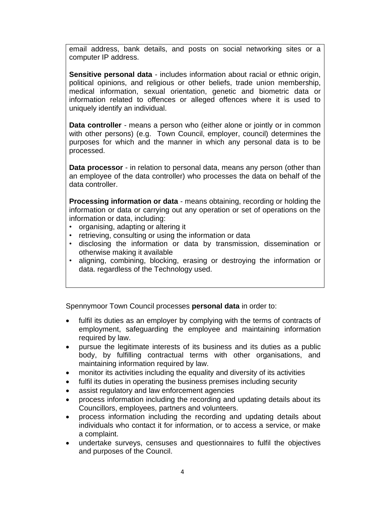email address, bank details, and posts on social networking sites or a computer IP address.

**Sensitive personal data** - includes information about racial or ethnic origin, political opinions, and religious or other beliefs, trade union membership, medical information, sexual orientation, genetic and biometric data or information related to offences or alleged offences where it is used to uniquely identify an individual.

**Data controller** - means a person who (either alone or jointly or in common with other persons) (e.g. Town Council, employer, council) determines the purposes for which and the manner in which any personal data is to be processed.

**Data processor** - in relation to personal data, means any person (other than an employee of the data controller) who processes the data on behalf of the data controller.

**Processing information or data** - means obtaining, recording or holding the information or data or carrying out any operation or set of operations on the information or data, including:

- organising, adapting or altering it
- retrieving, consulting or using the information or data
- disclosing the information or data by transmission, dissemination or otherwise making it available
- aligning, combining, blocking, erasing or destroying the information or data. regardless of the Technology used.

Spennymoor Town Council processes **personal data** in order to:

- fulfil its duties as an employer by complying with the terms of contracts of employment, safeguarding the employee and maintaining information required by law.
- pursue the legitimate interests of its business and its duties as a public body, by fulfilling contractual terms with other organisations, and maintaining information required by law.
- monitor its activities including the equality and diversity of its activities
- fulfil its duties in operating the business premises including security
- assist regulatory and law enforcement agencies
- process information including the recording and updating details about its Councillors, employees, partners and volunteers.
- process information including the recording and updating details about individuals who contact it for information, or to access a service, or make a complaint.
- undertake surveys, censuses and questionnaires to fulfil the objectives and purposes of the Council.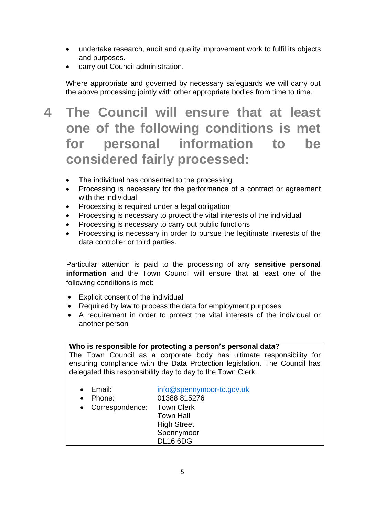- undertake research, audit and quality improvement work to fulfil its objects and purposes.
- carry out Council administration.

Where appropriate and governed by necessary safeguards we will carry out the above processing jointly with other appropriate bodies from time to time.

## **4 The Council will ensure that at least one of the following conditions is met for personal information to be considered fairly processed:**

- The individual has consented to the processing
- Processing is necessary for the performance of a contract or agreement with the individual
- Processing is required under a legal obligation
- Processing is necessary to protect the vital interests of the individual
- Processing is necessary to carry out public functions
- Processing is necessary in order to pursue the legitimate interests of the data controller or third parties.

Particular attention is paid to the processing of any **sensitive personal information** and the Town Council will ensure that at least one of the following conditions is met:

- Explicit consent of the individual
- Required by law to process the data for employment purposes
- A requirement in order to protect the vital interests of the individual or another person

| Who is responsible for protecting a person's personal data?<br>The Town Council as a corporate body has ultimate responsibility for<br>ensuring compliance with the Data Protection legislation. The Council has<br>delegated this responsibility day to day to the Town Clerk. |                                                                                                                      |  |
|---------------------------------------------------------------------------------------------------------------------------------------------------------------------------------------------------------------------------------------------------------------------------------|----------------------------------------------------------------------------------------------------------------------|--|
|                                                                                                                                                                                                                                                                                 |                                                                                                                      |  |
| $\bullet$ Email:<br>Phone:<br>Correspondence: Town Clerk                                                                                                                                                                                                                        | info@spennymoor-tc.gov.uk<br>01388 815276<br><b>Town Hall</b><br><b>High Street</b><br>Spennymoor<br><b>DL16 6DG</b> |  |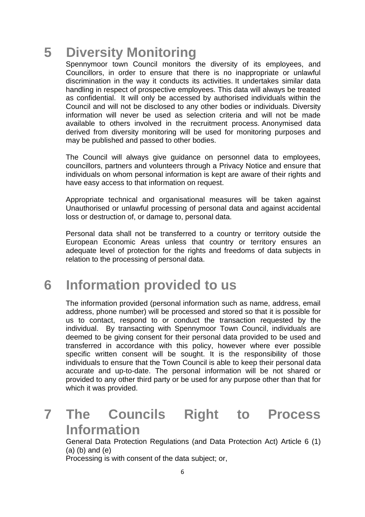# **5 Diversity Monitoring**

Spennymoor town Council monitors the diversity of its employees, and Councillors, in order to ensure that there is no inappropriate or unlawful discrimination in the way it conducts its activities. It undertakes similar data handling in respect of prospective employees. This data will always be treated as confidential. It will only be accessed by authorised individuals within the Council and will not be disclosed to any other bodies or individuals. Diversity information will never be used as selection criteria and will not be made available to others involved in the recruitment process. Anonymised data derived from diversity monitoring will be used for monitoring purposes and may be published and passed to other bodies.

The Council will always give guidance on personnel data to employees, councillors, partners and volunteers through a Privacy Notice and ensure that individuals on whom personal information is kept are aware of their rights and have easy access to that information on request.

Appropriate technical and organisational measures will be taken against Unauthorised or unlawful processing of personal data and against accidental loss or destruction of, or damage to, personal data.

Personal data shall not be transferred to a country or territory outside the European Economic Areas unless that country or territory ensures an adequate level of protection for the rights and freedoms of data subjects in relation to the processing of personal data.

## **6 Information provided to us**

The information provided (personal information such as name, address, email address, phone number) will be processed and stored so that it is possible for us to contact, respond to or conduct the transaction requested by the individual. By transacting with Spennymoor Town Council, individuals are deemed to be giving consent for their personal data provided to be used and transferred in accordance with this policy, however where ever possible specific written consent will be sought. It is the responsibility of those individuals to ensure that the Town Council is able to keep their personal data accurate and up-to-date. The personal information will be not shared or provided to any other third party or be used for any purpose other than that for which it was provided.

# **7 The Councils Right to Process Information**

General Data Protection Regulations (and Data Protection Act) Article 6 (1) (a) (b) and (e)

Processing is with consent of the data subject; or,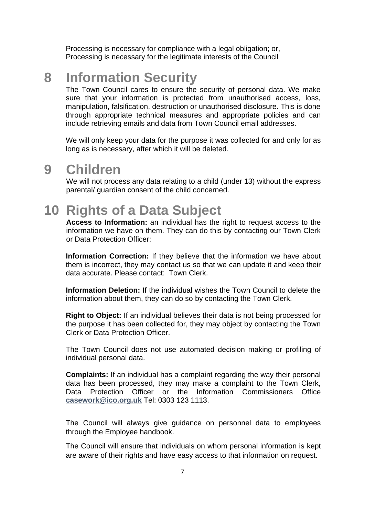Processing is necessary for compliance with a legal obligation; or, Processing is necessary for the legitimate interests of the Council

#### **8 Information Security**

The Town Council cares to ensure the security of personal data. We make sure that your information is protected from unauthorised access, loss, manipulation, falsification, destruction or unauthorised disclosure. This is done through appropriate technical measures and appropriate policies and can include retrieving emails and data from Town Council email addresses.

We will only keep your data for the purpose it was collected for and only for as long as is necessary, after which it will be deleted.

#### **9 Children**

We will not process any data relating to a child (under 13) without the express parental/ guardian consent of the child concerned.

#### **10 Rights of a Data Subject**

**Access to Information:** an individual has the right to request access to the information we have on them. They can do this by contacting our Town Clerk or Data Protection Officer:

**Information Correction:** If they believe that the information we have about them is incorrect, they may contact us so that we can update it and keep their data accurate. Please contact: Town Clerk.

**Information Deletion:** If the individual wishes the Town Council to delete the information about them, they can do so by contacting the Town Clerk.

**Right to Object:** If an individual believes their data is not being processed for the purpose it has been collected for, they may object by contacting the Town Clerk or Data Protection Officer.

The Town Council does not use automated decision making or profiling of individual personal data.

**Complaints:** If an individual has a complaint regarding the way their personal data has been processed, they may make a complaint to the Town Clerk, Data Protection Officer or the Information Commissioners Office **[casework@ico.org.uk](mailto:casework@ico.org.uk)** Tel: 0303 123 1113.

The Council will always give guidance on personnel data to employees through the Employee handbook.

The Council will ensure that individuals on whom personal information is kept are aware of their rights and have easy access to that information on request.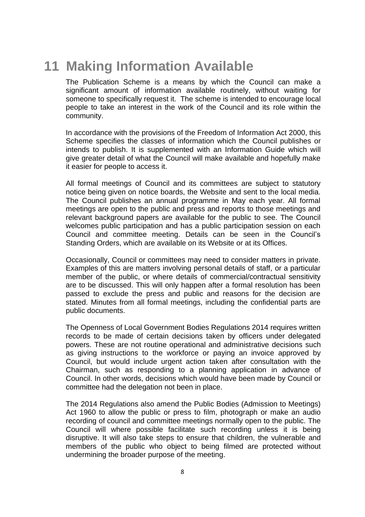#### **11 Making Information Available**

The Publication Scheme is a means by which the Council can make a significant amount of information available routinely, without waiting for someone to specifically request it. The scheme is intended to encourage local people to take an interest in the work of the Council and its role within the community.

In accordance with the provisions of the Freedom of Information Act 2000, this Scheme specifies the classes of information which the Council publishes or intends to publish. It is supplemented with an Information Guide which will give greater detail of what the Council will make available and hopefully make it easier for people to access it.

All formal meetings of Council and its committees are subject to statutory notice being given on notice boards, the Website and sent to the local media. The Council publishes an annual programme in May each year. All formal meetings are open to the public and press and reports to those meetings and relevant background papers are available for the public to see. The Council welcomes public participation and has a public participation session on each Council and committee meeting. Details can be seen in the Council's Standing Orders, which are available on its Website or at its Offices.

Occasionally, Council or committees may need to consider matters in private. Examples of this are matters involving personal details of staff, or a particular member of the public, or where details of commercial/contractual sensitivity are to be discussed. This will only happen after a formal resolution has been passed to exclude the press and public and reasons for the decision are stated. Minutes from all formal meetings, including the confidential parts are public documents.

The Openness of Local Government Bodies Regulations 2014 requires written records to be made of certain decisions taken by officers under delegated powers. These are not routine operational and administrative decisions such as giving instructions to the workforce or paying an invoice approved by Council, but would include urgent action taken after consultation with the Chairman, such as responding to a planning application in advance of Council. In other words, decisions which would have been made by Council or committee had the delegation not been in place.

The 2014 Regulations also amend the Public Bodies (Admission to Meetings) Act 1960 to allow the public or press to film, photograph or make an audio recording of council and committee meetings normally open to the public. The Council will where possible facilitate such recording unless it is being disruptive. It will also take steps to ensure that children, the vulnerable and members of the public who object to being filmed are protected without undermining the broader purpose of the meeting.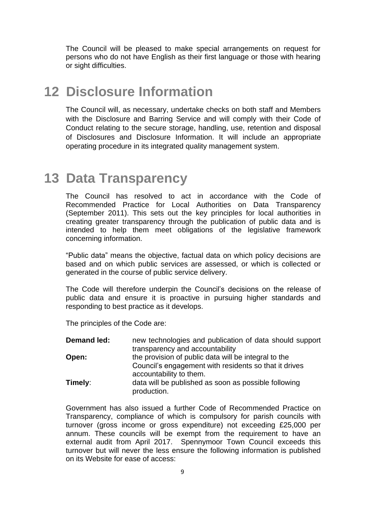The Council will be pleased to make special arrangements on request for persons who do not have English as their first language or those with hearing or sight difficulties.

#### **12 Disclosure Information**

The Council will, as necessary, undertake checks on both staff and Members with the Disclosure and Barring Service and will comply with their Code of Conduct relating to the secure storage, handling, use, retention and disposal of Disclosures and Disclosure Information. It will include an appropriate operating procedure in its integrated quality management system.

#### **13 Data Transparency**

The Council has resolved to act in accordance with the Code of Recommended Practice for Local Authorities on Data Transparency (September 2011). This sets out the key principles for local authorities in creating greater transparency through the publication of public data and is intended to help them meet obligations of the legislative framework concerning information.

"Public data" means the objective, factual data on which policy decisions are based and on which public services are assessed, or which is collected or generated in the course of public service delivery.

The Code will therefore underpin the Council's decisions on the release of public data and ensure it is proactive in pursuing higher standards and responding to best practice as it develops.

The principles of the Code are:

| Demand led: | new technologies and publication of data should support<br>transparency and accountability                    |
|-------------|---------------------------------------------------------------------------------------------------------------|
| Open:       | the provision of public data will be integral to the<br>Council's engagement with residents so that it drives |
| Timely:     | accountability to them.<br>data will be published as soon as possible following                               |
|             | production.                                                                                                   |

Government has also issued a further Code of Recommended Practice on Transparency, compliance of which is compulsory for parish councils with turnover (gross income or gross expenditure) not exceeding £25,000 per annum. These councils will be exempt from the requirement to have an external audit from April 2017. Spennymoor Town Council exceeds this turnover but will never the less ensure the following information is published on its Website for ease of access: